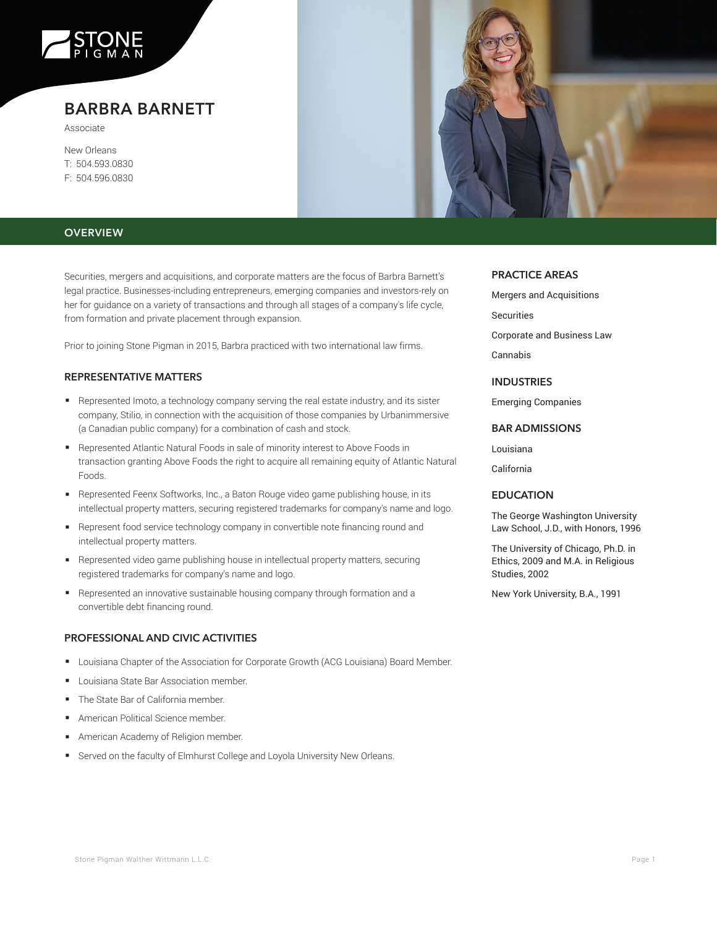

# **BARBRA BARNETT**

Associate

New Orleans T: 504.593.0830 F: 504.596.0830

# **OVERVIEW**

Securities, mergers and acquisitions, and corporate matters are the focus of Barbra Barnett's legal practice. Businesses-including entrepreneurs, emerging companies and investors-rely on her for guidance on a variety of transactions and through all stages of a company's life cycle, from formation and private placement through expansion.

Prior to joining Stone Pigman in 2015, Barbra practiced with two international law firms.

## **REPRESENTATIVE MATTERS**

- Represented Imoto, a technology company serving the real estate industry, and its sister company, Stilio, in connection with the acquisition of those companies by Urbanimmersive (a Canadian public company) for a combination of cash and stock.
- Represented Atlantic Natural Foods in sale of minority interest to Above Foods in transaction granting Above Foods the right to acquire all remaining equity of Atlantic Natural Foods.
- Represented Feenx Softworks, Inc., a Baton Rouge video game publishing house, in its intellectual property matters, securing registered trademarks for company's name and logo.
- Represent food service technology company in convertible note financing round and intellectual property matters.
- Bepresented video game publishing house in intellectual property matters, securing registered trademarks for company's name and logo.
- Represented an innovative sustainable housing company through formation and a convertible debt financing round.

## **PROFESSIONAL AND CIVIC ACTIVITIES**

- Louisiana Chapter of the Association for Corporate Growth (ACG Louisiana) Board Member.
- Louisiana State Bar Association member.
- The State Bar of California member.
- American Political Science member.
- American Academy of Religion member.
- Served on the faculty of Elmhurst College and Loyola University New Orleans.



#### **PRACTICE AREAS**

Mergers and Acquisitions Securities Corporate and Business Law Cannabis

### **INDUSTRIES**

Emerging Companies

# **BAR ADMISSIONS**

Louisiana

California

#### **EDUCATION**

The George Washington University Law School, J.D., with Honors, 1996

The University of Chicago, Ph.D. in Ethics, 2009 and M.A. in Religious Studies, 2002

New York University, B.A., 1991